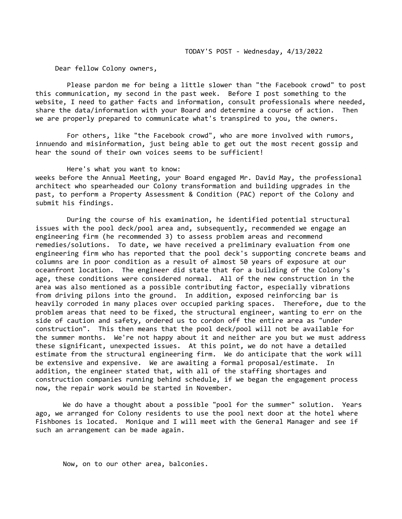Dear fellow Colony owners,

 Please pardon me for being a little slower than "the Facebook crowd" to post this communication, my second in the past week. Before I post something to the website, I need to gather facts and information, consult professionals where needed, share the data/information with your Board and determine a course of action. Then we are properly prepared to communicate what's transpired to you, the owners.

 For others, like "the Facebook crowd", who are more involved with rumors, innuendo and misinformation, just being able to get out the most recent gossip and hear the sound of their own voices seems to be sufficient!

 Here's what you want to know: weeks before the Annual Meeting, your Board engaged Mr. David May, the professional architect who spearheaded our Colony transformation and building upgrades in the past, to perform a Property Assessment & Condition (PAC) report of the Colony and submit his findings.

 During the course of his examination, he identified potential structural issues with the pool deck/pool area and, subsequently, recommended we engage an engineering firm (he recommended 3) to assess problem areas and recommend remedies/solutions. To date, we have received a preliminary evaluation from one engineering firm who has reported that the pool deck's supporting concrete beams and columns are in poor condition as a result of almost 50 years of exposure at our oceanfront location. The engineer did state that for a building of the Colony's age, these conditions were considered normal. All of the new construction in the area was also mentioned as a possible contributing factor, especially vibrations from driving pilons into the ground. In addition, exposed reinforcing bar is heavily corroded in many places over occupied parking spaces. Therefore, due to the problem areas that need to be fixed, the structural engineer, wanting to err on the side of caution and safety, ordered us to cordon off the entire area as "under construction". This then means that the pool deck/pool will not be available for the summer months. We're not happy about it and neither are you but we must address these significant, unexpected issues. At this point, we do not have a detailed estimate from the structural engineering firm. We do anticipate that the work will be extensive and expensive. We are awaiting a formal proposal/estimate. In addition, the engineer stated that, with all of the staffing shortages and construction companies running behind schedule, if we began the engagement process now, the repair work would be started in November.

 We do have a thought about a possible "pool for the summer" solution. Years ago, we arranged for Colony residents to use the pool next door at the hotel where Fishbones is located. Monique and I will meet with the General Manager and see if such an arrangement can be made again.

Now, on to our other area, balconies.